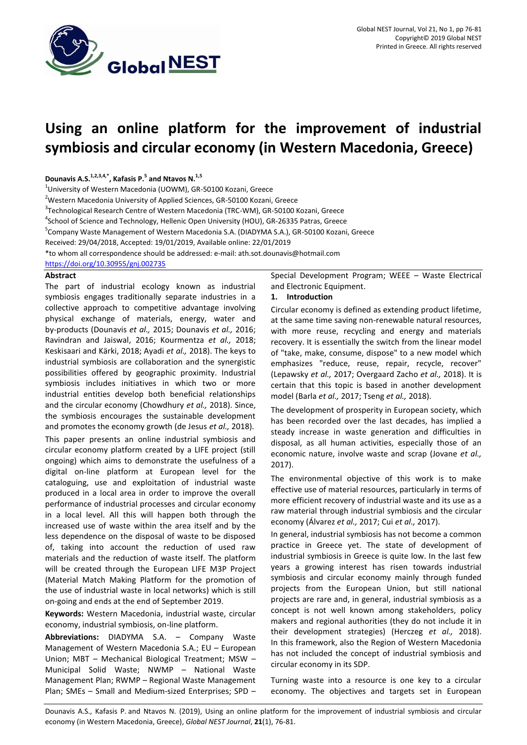

# **Using an online platform for the improvement of industrial symbiosis and circular economy (in Western Macedonia, Greece)**

**Dounavis A.S.1,2,3,4,\*, Kafasis P.<sup>5</sup> and Ntavos N.1,5**

<sup>1</sup>University of Western Macedonia (UOWM), GR-50100 Kozani, Greece

<sup>2</sup>Western Macedonia University of Applied Sciences, GR-50100 Kozani, Greece

<sup>3</sup>Technological Research Centre of Western Macedonia (TRC-WM), GR-50100 Kozani, Greece

<sup>4</sup>School of Science and Technology, Hellenic Open University (HOU), GR-26335 Patras, Greece

<sup>5</sup>Company Waste Management of Western Macedonia S.A. (DIADYMA S.A.), GR-50100 Kozani, Greece

Received: 29/04/2018, Accepted: 19/01/2019, Available online: 22/01/2019

\*to whom all correspondence should be addressed: e-mail: ath.sot.dounavis@hotmail.com

https://doi.org/10.30955/gnj.002735

## **Abstract**

The part of industrial ecology known as industrial symbiosis engages traditionally separate industries in a collective approach to competitive advantage involving physical exchange of materials, energy, water and by-products (Dounavis *et al.,* 2015; Dounavis *et al.,* 2016; Ravindran and Jaiswal, 2016; Kourmentza *et al.,* 2018; Keskisaari and Kärki, 2018; Ayadi *et al.,* 2018). The keys to industrial symbiosis are collaboration and the synergistic possibilities offered by geographic proximity. Industrial symbiosis includes initiatives in which two or more industrial entities develop both beneficial relationships and the circular economy (Chowdhury *et al.,* 2018). Since, the symbiosis encourages the sustainable development and promotes the economy growth (de Jesus *et al.,* 2018). This paper presents an online industrial symbiosis and circular economy platform created by a LIFE project (still ongoing) which aims to demonstrate the usefulness of a digital on-line platform at European level for the cataloguing, use and exploitation of industrial waste produced in a local area in order to improve the overall performance of industrial processes and circular economy in a local level. All this will happen both through the increased use of waste within the area itself and by the less dependence on the disposal of waste to be disposed of, taking into account the reduction of used raw materials and the reduction of waste itself. The platform will be created through the European LIFE M3P Project (Material Match Making Platform for the promotion of the use of industrial waste in local networks) which is still on-going and ends at the end of September 2019.

**Keywords:** Western Macedonia, industrial waste, circular economy, industrial symbiosis, on-line platform.

**Abbreviations:** DIADYMA S.A. – Company Waste Management of Western Macedonia S.A.; EU – European Union; MBT – Mechanical Biological Treatment; MSW – Municipal Solid Waste; NWMP – National Waste Management Plan; RWMP – Regional Waste Management Plan; SMEs – Small and Medium-sized Enterprises; SPD –

Special Development Program; WEEE – Waste Electrical and Electronic Equipment.

# **1. Introduction**

Circular economy is defined as extending product lifetime, at the same time saving non-renewable natural resources, with more reuse, recycling and energy and materials recovery. It is essentially the switch from the linear model of "take, make, consume, dispose" to a new model which emphasizes "reduce, reuse, repair, recycle, recover" (Lepawsky *et al.,* 2017; Overgaard Zacho *et al.,* 2018). It is certain that this topic is based in another development model (Barla *et al.,* 2017; Tseng *et al.,* 2018).

The development of prosperity in European society, which has been recorded over the last decades, has implied a steady increase in waste generation and difficulties in disposal, as all human activities, especially those of an economic nature, involve waste and scrap (Jovane *et al.,* 2017).

The environmental objective of this work is to make effective use of material resources, particularly in terms of more efficient recovery of industrial waste and its use as a raw material through industrial symbiosis and the circular economy (Álvarez *et al.,* 2017; Cui *et al.,* 2017).

In general, industrial symbiosis has not become a common practice in Greece yet. The state of development of industrial symbiosis in Greece is quite low. In the last few years a growing interest has risen towards industrial symbiosis and circular economy mainly through funded projects from the European Union, but still national projects are rare and, in general, industrial symbiosis as a concept is not well known among stakeholders, policy makers and regional authorities (they do not include it in their development strategies) (Herczeg *et al.,* 2018). In this framework, also the Region of Western Macedonia has not included the concept of industrial symbiosis and circular economy in its SDP.

Turning waste into a resource is one key to a circular economy. The objectives and targets set in European

Dounavis A.S., Kafasis P. and Ntavos N. (2019), Using an online platform for the improvement of industrial symbiosis and circular economy (in Western Macedonia, Greece), *Global NEST Journal*, **21**(1), 76-81.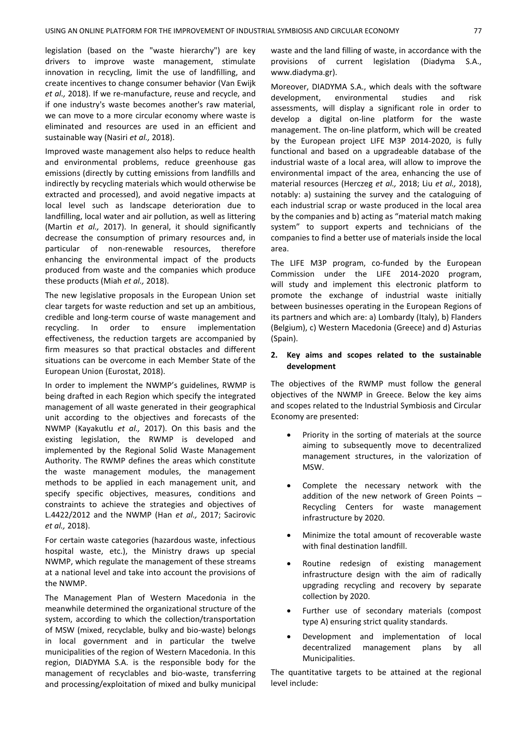legislation (based on the "waste hierarchy") are key drivers to improve waste management, stimulate innovation in recycling, limit the use of landfilling, and create incentives to change consumer behavior (Van Ewijk *et al.,* 2018). If we re-manufacture, reuse and recycle, and if one industry's waste becomes another's raw material, we can move to a more circular economy where waste is eliminated and resources are used in an efficient and sustainable way (Nasiri *et al.,* 2018).

Improved waste management also helps to reduce health and environmental problems, reduce greenhouse gas emissions (directly by cutting emissions from landfills and indirectly by recycling materials which would otherwise be extracted and processed), and avoid negative impacts at local level such as landscape deterioration due to landfilling, local water and air pollution, as well as littering (Martin *et al.,* 2017). In general, it should significantly decrease the consumption of primary resources and, in particular of non-renewable resources, therefore enhancing the environmental impact of the products produced from waste and the companies which produce these products (Miah *et al.,* 2018).

The new legislative proposals in the European Union set clear targets for waste reduction and set up an ambitious, credible and long-term course of waste management and recycling. In order to ensure implementation effectiveness, the reduction targets are accompanied by firm measures so that practical obstacles and different situations can be overcome in each Member State of the European Union (Eurostat, 2018).

In order to implement the NWMP's guidelines, RWMP is being drafted in each Region which specify the integrated management of all waste generated in their geographical unit according to the objectives and forecasts of the NWMP (Kayakutlu *et al.,* 2017). On this basis and the existing legislation, the RWMP is developed and implemented by the Regional Solid Waste Management Authority. The RWMP defines the areas which constitute the waste management modules, the management methods to be applied in each management unit, and specify specific objectives, measures, conditions and constraints to achieve the strategies and objectives of L.4422/2012 and the NWMP (Han *et al.,* 2017; Sacirovic *et al.,* 2018).

For certain waste categories (hazardous waste, infectious hospital waste, etc.), the Ministry draws up special NWMP, which regulate the management of these streams at a national level and take into account the provisions of the NWMP.

The Management Plan of Western Macedonia in the meanwhile determined the organizational structure of the system, according to which the collection/transportation of MSW (mixed, recyclable, bulky and bio-waste) belongs in local government and in particular the twelve municipalities of the region of Western Macedonia. In this region, DIADYMA S.A. is the responsible body for the management of recyclables and bio-waste, transferring and processing/exploitation of mixed and bulky municipal waste and the land filling of waste, in accordance with the provisions of current legislation (Diadyma S.A., [www.diadyma.gr\)](http://www.diadyma.gr/).

Moreover, DIADYMA S.A., which deals with the software development, environmental studies and risk assessments, will display a significant role in order to develop a digital on-line platform for the waste management. The on-line platform, which will be created by the European project LIFE M3P 2014-2020, is fully functional and based on a upgradeable database of the industrial waste of a local area, will allow to improve the environmental impact of the area, enhancing the use of material resources (Herczeg *et al.,* 2018; Liu *et al.,* 2018), notably: a) sustaining the survey and the cataloguing of each industrial scrap or waste produced in the local area by the companies and b) acting as "material match making system" to support experts and technicians of the companies to find a better use of materials inside the local area.

The LIFE M3P program, co-funded by the European Commission under the LIFE 2014-2020 program, will study and implement this electronic platform to promote the exchange of industrial waste initially between businesses operating in the European Regions of its partners and which are: a) Lombardy (Italy), b) Flanders (Belgium), c) Western Macedonia (Greece) and d) Asturias (Spain).

## **2. Key aims and scopes related to the sustainable development**

The objectives of the RWMP must follow the general objectives of the NWMP in Greece. Below the key aims and scopes related to the Industrial Symbiosis and Circular Economy are presented:

- Priority in the sorting of materials at the source aiming to subsequently move to decentralized management structures, in the valorization of MSW.
- Complete the necessary network with the addition of the new network of Green Points – Recycling Centers for waste management infrastructure by 2020.
- Minimize the total amount of recoverable waste with final destination landfill.
- Routine redesign of existing management infrastructure design with the aim of radically upgrading recycling and recovery by separate collection by 2020.
- Further use of secondary materials (compost type A) ensuring strict quality standards.
- Development and implementation of local decentralized management plans by all Municipalities.

The quantitative targets to be attained at the regional level include: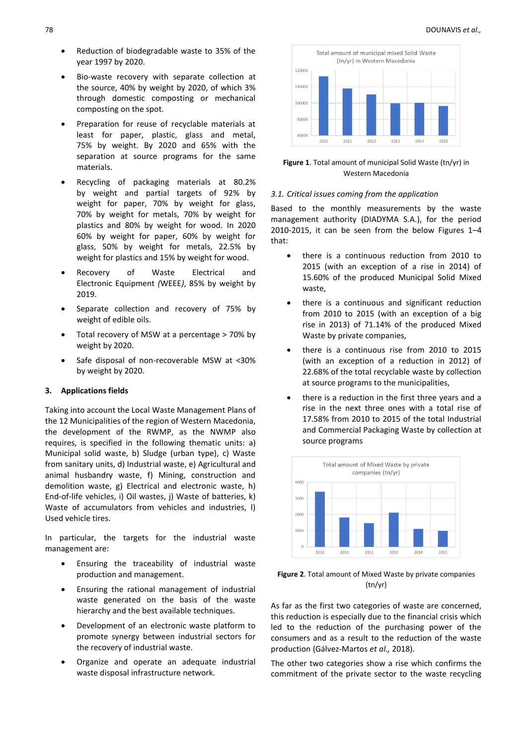- Reduction of biodegradable waste to 35% of the year 1997 by 2020.
- Bio-waste recovery with separate collection at the source, 40% by weight by 2020, of which 3% through domestic composting or mechanical composting on the spot.
- Preparation for reuse of recyclable materials at least for paper, plastic, glass and metal, 75% by weight. By 2020 and 65% with the separation at source programs for the same materials.
- Recycling of packaging materials at 80.2% by weight and partial targets of 92% by weight for paper, 70% by weight for glass, 70% by weight for metals, 70% by weight for plastics and 80% by weight for wood. In 2020 60% by weight for paper, 60% by weight for glass, 50% by weight for metals, 22.5% by weight for plastics and 15% by weight for wood.
- Recovery of Waste Electrical and Electronic Equipment *(*WEEE*)*, 85% by weight by 2019.
- Separate collection and recovery of 75% by weight of edible oils.
- Total recovery of MSW at a percentage > 70% by weight by 2020.
- Safe disposal of non-recoverable MSW at <30% by weight by 2020.

## **3. Applications fields**

Taking into account the Local Waste Management Plans of the 12 Municipalities of the region of Western Macedonia, the development of the RWMP, as the NWMP also requires, is specified in the following thematic units: a) Municipal solid waste, b) Sludge (urban type), c) Waste from sanitary units, d) Industrial waste, e) Agricultural and animal husbandry waste, f) Mining, construction and demolition waste, g) Electrical and electronic waste, h) End-of-life vehicles, i) Oil wastes, j) Waste of batteries, k) Waste of accumulators from vehicles and industries, l) Used vehicle tires.

In particular, the targets for the industrial waste management are:

- Ensuring the traceability of industrial waste production and management.
- Ensuring the rational management of industrial waste generated on the basis of the waste hierarchy and the best available techniques.
- Development of an electronic waste platform to promote synergy between industrial sectors for the recovery of industrial waste.
- Organize and operate an adequate industrial waste disposal infrastructure network.



**Figure 1**. Total amount of municipal Solid Waste (tn/yr) in Western Macedonia

### *3.1. Critical issues coming from the application*

Βased to the monthly measurements by the waste management authority (DIADYMA S.A.), for the period 2010-2015, it can be seen from the below Figures 1–4 that:

- there is a continuous reduction from 2010 to 2015 (with an exception of a rise in 2014) of 15.60% of the produced Municipal Solid Mixed waste,
- there is a continuous and significant reduction from 2010 to 2015 (with an exception of a big rise in 2013) of 71.14% of the produced Mixed Waste by private companies,
- there is a continuous rise from 2010 to 2015 (with an exception of a reduction in 2012) of 22.68% of the total recyclable waste by collection at source programs to the municipalities,
- there is a reduction in the first three years and a rise in the next three ones with a total rise of 17.58% from 2010 to 2015 of the total Industrial and Commercial Packaging Waste by collection at source programs





As far as the first two categories of waste are concerned, this reduction is especially due to the financial crisis which led to the reduction of the purchasing power of the consumers and as a result to the reduction of the waste production (Gálvez-Martos *et al.,* 2018).

The other two categories show a rise which confirms the commitment of the private sector to the waste recycling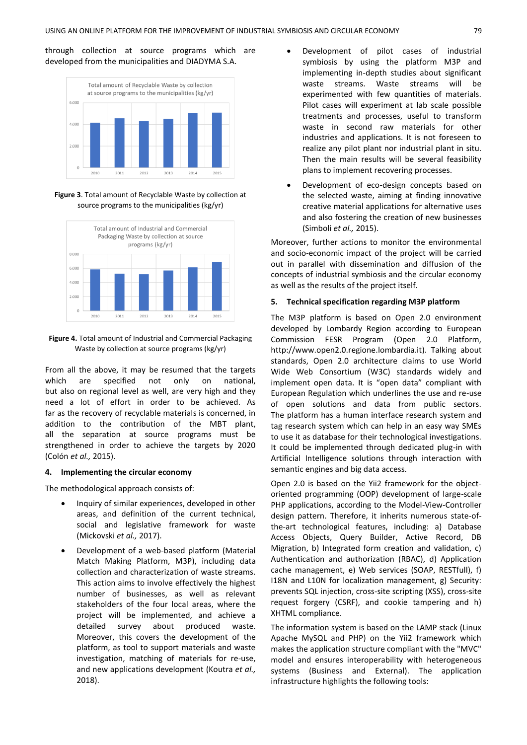through collection at source programs which are developed from the municipalities and DIADYMA S.A.



**Figure 3**. Total amount of Recyclable Waste by collection at source programs to the municipalities (kg/yr)



**Figure 4.** Total amount of Industrial and Commercial Packaging Waste by collection at source programs (kg/yr)

From all the above, it may be resumed that the targets which are specified not only on national, but also on regional level as well, are very high and they need a lot of effort in order to be achieved. As far as the recovery of recyclable materials is concerned, in addition to the contribution of the MBT plant, all the separation at source programs must be strengthened in order to achieve the targets by 2020 (Colón *et al.,* 2015).

## **4. Implementing the circular economy**

The methodological approach consists of:

- Inquiry of similar experiences, developed in other areas, and definition of the current technical, social and legislative framework for waste (Mickovski *et al.,* 2017).
- Development of a web-based platform (Material Match Making Platform, M3P), including data collection and characterization of waste streams. This action aims to involve effectively the highest number of businesses, as well as relevant stakeholders of the four local areas, where the project will be implemented, and achieve a detailed survey about produced waste. Moreover, this covers the development of the platform, as tool to support materials and waste investigation, matching of materials for re-use, and new applications development (Koutra *et al.,* 2018).
- Development of pilot cases of industrial symbiosis by using the platform M3P and implementing in-depth studies about significant waste streams. Waste streams will be experimented with few quantities of materials. Pilot cases will experiment at lab scale possible treatments and processes, useful to transform waste in second raw materials for other industries and applications. It is not foreseen to realize any pilot plant nor industrial plant in situ. Then the main results will be several feasibility plans to implement recovering processes.
- Development of eco-design concepts based on the selected waste, aiming at finding innovative creative material applications for alternative uses and also fostering the creation of new businesses (Simboli *et al.,* 2015).

Moreover, further actions to monitor the environmental and socio-economic impact of the project will be carried out in parallel with dissemination and diffusion of the concepts of industrial symbiosis and the circular economy as well as the results of the project itself.

#### **5. Technical specification regarding M3P platform**

The M3P platform is based on Open 2.0 environment developed by Lombardy Region according to European Commission FESR Program (Open 2.0 Platform, http:/[/www.open2.0.regione.lombardia.it\)](http://www.open2.0.regione.lombardia.it/). Talking about standards, Open 2.0 architecture claims to use World Wide Web Consortium (W3C) standards widely and implement open data. It is "open data" compliant with European Regulation which underlines the use and re-use of open solutions and data from public sectors. The platform has a human interface research system and tag research system which can help in an easy way SMEs to use it as database for their technological investigations. It could be implemented through dedicated plug-in with Artificial Intelligence solutions through interaction with semantic engines and big data access.

Open 2.0 is based on the Yii2 framework for the objectoriented programming (OOP) development of large-scale PHP applications, according to the Model-View-Controller design pattern. Therefore, it inherits numerous state-ofthe-art technological features, including: a) Database Access Objects, Query Builder, Active Record, DB Migration, b) Integrated form creation and validation, c) Authentication and authorization (RBAC), d) Application cache management, e) Web services (SOAP, RESTfull), f) I18N and L10N for localization management, g) Security: prevents SQL injection, cross-site scripting (XSS), cross-site request forgery (CSRF), and cookie tampering and h) XHTML compliance.

The information system is based on the LAMP stack (Linux Apache MySQL and PHP) on the Yii2 framework which makes the application structure compliant with the "MVC" model and ensures interoperability with heterogeneous systems (Business and External). The application infrastructure highlights the following tools: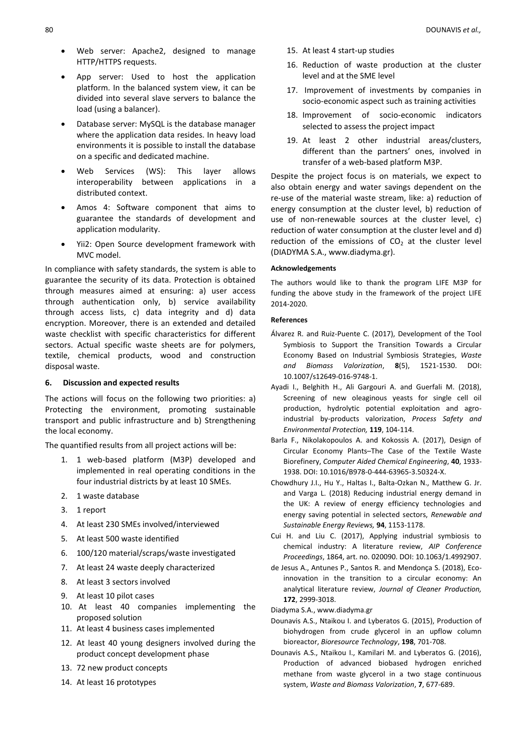- Web server: Apache2, designed to manage HTTP/HTTPS requests.
- App server: Used to host the application platform. In the balanced system view, it can be divided into several slave servers to balance the load (using a balancer).
- Database server: MySQL is the database manager where the application data resides. In heavy load environments it is possible to install the database on a specific and dedicated machine.
- Web Services (WS): This layer allows interoperability between applications in a distributed context.
- Amos 4: Software component that aims to guarantee the standards of development and application modularity.
- Yii2: Open Source development framework with MVC model.

In compliance with safety standards, the system is able to guarantee the security of its data. Protection is obtained through measures aimed at ensuring: a) user access through authentication only, b) service availability through access lists, c) data integrity and d) data encryption. Moreover, there is an extended and detailed waste checklist with specific characteristics for different sectors. Actual specific waste sheets are for polymers, textile, chemical products, wood and construction disposal waste.

## **6. Discussion and expected results**

The actions will focus on the following two priorities: a) Protecting the environment, promoting sustainable transport and public infrastructure and b) Strengthening the local economy.

The quantified results from all project actions will be:

- 1. 1 web-based platform (M3P) developed and implemented in real operating conditions in the four industrial districts by at least 10 SMEs.
- 2. 1 waste database
- 3. 1 report
- 4. At least 230 SMEs involved/interviewed
- 5. At least 500 waste identified
- 6. 100/120 material/scraps/waste investigated
- 7. At least 24 waste deeply characterized
- 8. At least 3 sectors involved
- 9. At least 10 pilot cases
- 10. At least 40 companies implementing the proposed solution
- 11. At least 4 business cases implemented
- 12. At least 40 young designers involved during the product concept development phase
- 13. 72 new product concepts
- 14. At least 16 prototypes
- 15. At least 4 start-up studies
- 16. Reduction of waste production at the cluster level and at the SME level
- 17. Improvement of investments by companies in socio-economic aspect such as training activities
- 18. Improvement of socio-economic indicators selected to assess the project impact
- 19. At least 2 other industrial areas/clusters, different than the partners' ones, involved in transfer of a web-based platform M3P.

Despite the project focus is on materials, we expect to also obtain energy and water savings dependent on the re-use of the material waste stream, like: a) reduction of energy consumption at the cluster level, b) reduction of use of non-renewable sources at the cluster level, c) reduction of water consumption at the cluster level and d) reduction of the emissions of  $CO<sub>2</sub>$  at the cluster level (DIADYMA S.A.[, www.diadyma.gr\)](http://www.diadyma.gr/).

## **Acknowledgements**

The authors would like to thank the program LIFE M3P for funding the above study in the framework of the project LIFE 2014-2020.

#### **References**

- Álvarez R. and Ruiz-Puente C. (2017), Development of the Tool Symbiosis to Support the Transition Towards a Circular Economy Based on Industrial Symbiosis Strategies, *Waste and Biomass Valorization*, **8**(5), 1521-1530. DOI: 10.1007/s12649-016-9748-1.
- Ayadi I., Belghith H., Ali Gargouri A. and Guerfali M. (2018), Screening of new oleaginous yeasts for single cell oil production, hydrolytic potential exploitation and agroindustrial by-products valorization, *Process Safety and Environmental Protection,* **119**, 104-114.
- Barla F., Nikolakopoulos A. and Kokossis A. (2017), Design of Circular Economy Plants–The Case of the Textile Waste Biorefinery, *Computer Aided Chemical Engineering*, **40**, 1933- 1938. DOI: 10.1016/B978-0-444-63965-3.50324-X.
- Chowdhury J.I., Hu Y., Haltas I., Balta-Ozkan N., Matthew G. Jr. and Varga L. (2018) Reducing industrial energy demand in the UK: A review of energy efficiency technologies and energy saving potential in selected sectors, *Renewable and Sustainable Energy Reviews,* **94**, 1153-1178.
- Cui H. and Liu C. (2017), Applying industrial symbiosis to chemical industry: A literature review, *AIP Conference Proceedings*, 1864, art. no. 020090. DOI: 10.1063/1.4992907.
- de Jesus A., Antunes P., Santos R. and Mendonça S. (2018), Ecoinnovation in the transition to a circular economy: An analytical literature review, *Journal of Cleaner Production,* **172**, 2999-3018.
- Diadyma S.A.[, www.diadyma.gr](http://www.diadyma.gr/)
- Dounavis A.S., Ntaikou I. and Lyberatos G. (2015), Production of biohydrogen from crude glycerol in an upflow column bioreactor, *Bioresource Technology*, **198**, 701-708.
- Dounavis A.S., Ntaikou I., Kamilari M. and Lyberatos G. (2016), Production of advanced biobased hydrogen enriched methane from waste glycerol in a two stage continuous system, *Waste and Biomass Valorization*, **7**, 677-689.